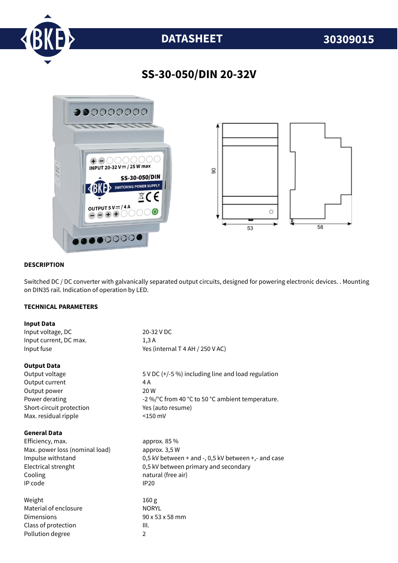

# **DATASHEET 30309015**

## **SS-30-050/DIN 20-32V**



#### **DESCRIPTION**

Switched DC / DC converter with galvanically separated output circuits, designed for powering electronic devices. . Mounting on DIN35 rail. Indication of operation by LED.

#### **TECHNICAL PARAMETERS**

| <b>Input Data</b>              |                                                     |
|--------------------------------|-----------------------------------------------------|
| Input voltage, DC              | 20-32 V DC                                          |
| Input current, DC max.         | 1,3A                                                |
| Input fuse                     | Yes (internal T 4 AH / 250 V AC)                    |
| <b>Output Data</b>             |                                                     |
| Output voltage                 | 5 V DC (+/-5 %) including line and load regulation  |
| Output current                 | 4 A                                                 |
| Output power                   | 20 W                                                |
| Power derating                 | -2 %/°C from 40 °C to 50 °C ambient temperature.    |
| Short-circuit protection       | Yes (auto resume)                                   |
| Max. residual ripple           | $<$ 150 mV                                          |
| <b>General Data</b>            |                                                     |
| Efficiency, max.               | approx. $85\%$                                      |
| Max. power loss (nominal load) | approx. 3,5 W                                       |
| Impulse withstand              | 0,5 kV between + and -, 0,5 kV between +,- and case |
| Electrical strenght            | 0,5 kV between primary and secondary                |
| Cooling                        | natural (free air)                                  |
| IP code                        | <b>IP20</b>                                         |
| Weight                         | 160 <sub>g</sub>                                    |
| Material of enclosure          | <b>NORYL</b>                                        |
| Dimensions                     | 90 x 53 x 58 mm                                     |
| Class of protection            | III.                                                |
| Pollution degree               | $\overline{2}$                                      |
|                                |                                                     |